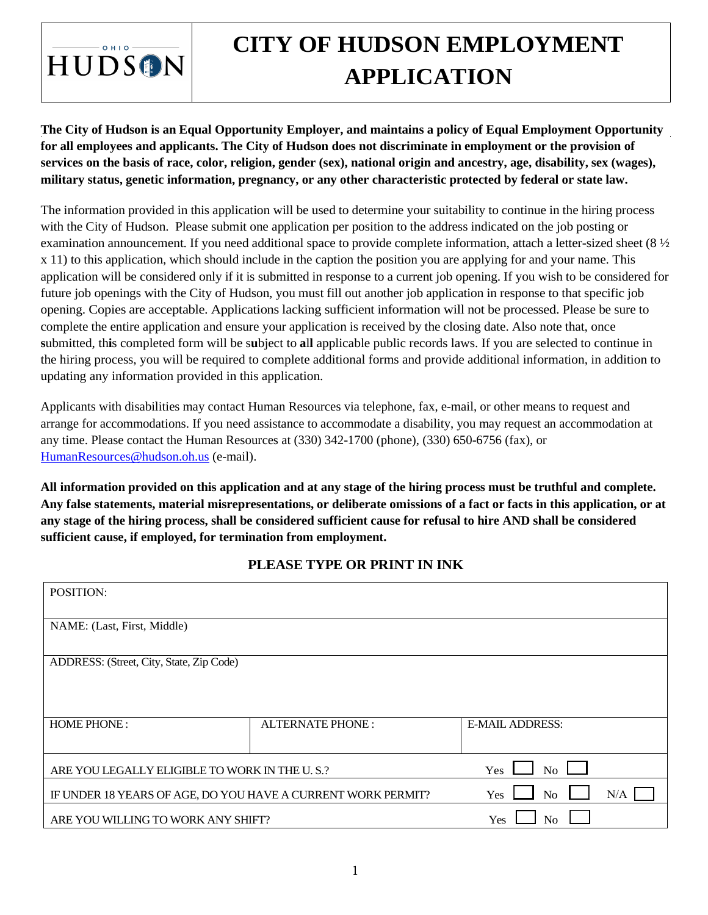

# **CITY OF HUDSON EMPLOYMENT APPLICATION**

## **The City of Hudson is an Equal Opportunity Employer, and maintains a policy of Equal Employment Opportunity for all employees and applicants. The City of Hudson does not discriminate in employment or the provision of services on the basis of race, color, religion, gender (sex), national origin and ancestry, age, disability, sex (wages), military status, genetic information, pregnancy, or any other characteristic protected by federal or state law.**

The information provided in this application will be used to determine your suitability to continue in the hiring process with the City of Hudson. Please submit one application per position to the address indicated on the job posting or examination announcement. If you need additional space to provide complete information, attach a letter-sized sheet (8 ½ x 11) to this application, which should include in the caption the position you are applying for and your name. This application will be considered only if it is submitted in response to a current job opening. If you wish to be considered for future job openings with the City of Hudson, you must fill out another job application in response to that specific job opening. Copies are acceptable. Applications lacking sufficient information will not be processed. Please be sure to complete the entire application and ensure your application is received by the closing date. Also note that, once **s**ubmitted, th**i**s completed form will be s**u**bject to **a**l**l** applicable public records laws. If you are selected to continue in the hiring process, you will be required to complete additional forms and provide additional information, in addition to updating any information provided in this application.

Applicants with disabilities may contact Human Resources via telephone, fax, e-mail, or other means to request and arrange for accommodations. If you need assistance to accommodate a disability, you may request an accommodation at any time. Please contact the Human Resources at (330) 342-1700 (phone), (330) 650-6756 (fax), or HumanResources@hudson.oh.us (e-mail).

**[All information provided on thi](mailto:HumanResources@hudson.oh.us)s application and at any stage of the hiring process must be truthful and complete. Any false statements, material misrepresentations, or deliberate omissions of a fact or facts in this application, or at any stage of the hiring process, shall be considered sufficient cause for refusal to hire AND shall be considered sufficient cause, if employed, for termination from employment.** 

### **PLEASE TYPE OR PRINT IN INK**

| POSITION:                                                    |                         |                              |     |
|--------------------------------------------------------------|-------------------------|------------------------------|-----|
| NAME: (Last, First, Middle)                                  |                         |                              |     |
| ADDRESS: (Street, City, State, Zip Code)                     |                         |                              |     |
| <b>HOME PHONE:</b>                                           | <b>ALTERNATE PHONE:</b> | <b>E-MAIL ADDRESS:</b>       |     |
| ARE YOU LEGALLY ELIGIBLE TO WORK IN THE U.S.?                |                         | No<br>Yes                    |     |
| IF UNDER 18 YEARS OF AGE, DO YOU HAVE A CURRENT WORK PERMIT? |                         | N <sub>o</sub><br><b>Yes</b> | N/A |
| ARE YOU WILLING TO WORK ANY SHIFT?                           |                         | Yes<br>N <sub>0</sub>        |     |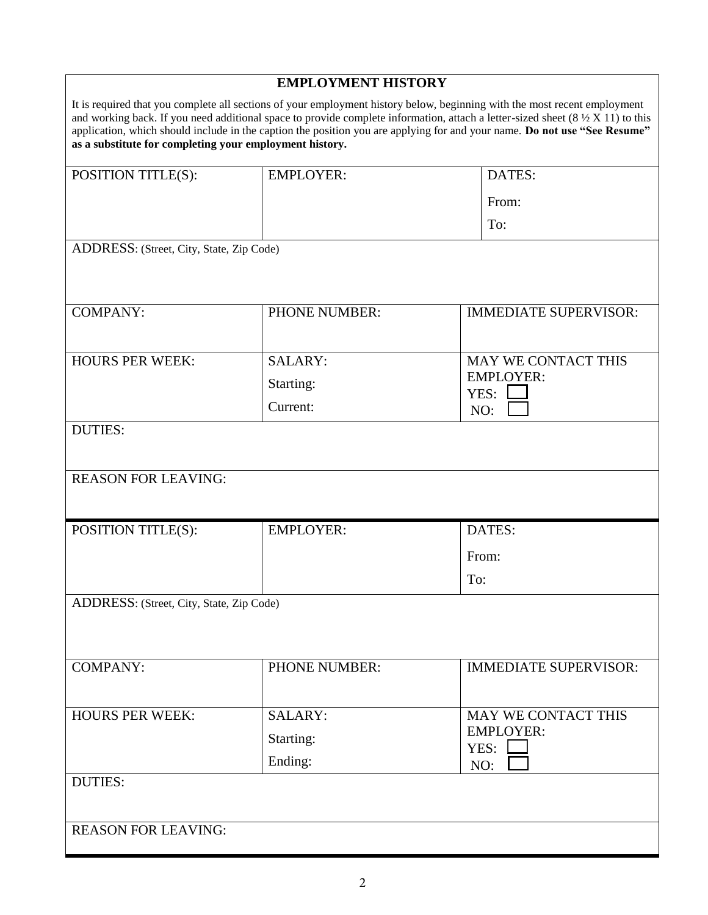| <b>EMPLOYMENT HISTORY</b>                               |                      |                                                                                                                                                                                                                                                                                                                                                                                                          |  |
|---------------------------------------------------------|----------------------|----------------------------------------------------------------------------------------------------------------------------------------------------------------------------------------------------------------------------------------------------------------------------------------------------------------------------------------------------------------------------------------------------------|--|
| as a substitute for completing your employment history. |                      | It is required that you complete all sections of your employment history below, beginning with the most recent employment<br>and working back. If you need additional space to provide complete information, attach a letter-sized sheet $(8\frac{1}{2} \times 11)$ to this<br>application, which should include in the caption the position you are applying for and your name. Do not use "See Resume" |  |
| POSITION TITLE(S):                                      | <b>EMPLOYER:</b>     | DATES:                                                                                                                                                                                                                                                                                                                                                                                                   |  |
|                                                         |                      | From:                                                                                                                                                                                                                                                                                                                                                                                                    |  |
|                                                         |                      | To:                                                                                                                                                                                                                                                                                                                                                                                                      |  |
| ADDRESS: (Street, City, State, Zip Code)                |                      |                                                                                                                                                                                                                                                                                                                                                                                                          |  |
| COMPANY:                                                | <b>PHONE NUMBER:</b> | <b>IMMEDIATE SUPERVISOR:</b>                                                                                                                                                                                                                                                                                                                                                                             |  |
| <b>HOURS PER WEEK:</b>                                  | <b>SALARY:</b>       | MAY WE CONTACT THIS                                                                                                                                                                                                                                                                                                                                                                                      |  |
|                                                         | Starting:            | <b>EMPLOYER:</b><br>YES:                                                                                                                                                                                                                                                                                                                                                                                 |  |
|                                                         | Current:             | NO:                                                                                                                                                                                                                                                                                                                                                                                                      |  |
| <b>DUTIES:</b><br><b>REASON FOR LEAVING:</b>            |                      |                                                                                                                                                                                                                                                                                                                                                                                                          |  |
| POSITION TITLE(S):                                      | <b>EMPLOYER:</b>     | DATES:                                                                                                                                                                                                                                                                                                                                                                                                   |  |
|                                                         |                      | From:                                                                                                                                                                                                                                                                                                                                                                                                    |  |
|                                                         |                      | To:                                                                                                                                                                                                                                                                                                                                                                                                      |  |
| ADDRESS: (Street, City, State, Zip Code)                |                      |                                                                                                                                                                                                                                                                                                                                                                                                          |  |
| <b>COMPANY:</b>                                         | <b>PHONE NUMBER:</b> | <b>IMMEDIATE SUPERVISOR:</b>                                                                                                                                                                                                                                                                                                                                                                             |  |
| <b>HOURS PER WEEK:</b>                                  | <b>SALARY:</b>       | MAY WE CONTACT THIS                                                                                                                                                                                                                                                                                                                                                                                      |  |
|                                                         | Starting:            | <b>EMPLOYER:</b><br>YES:                                                                                                                                                                                                                                                                                                                                                                                 |  |
|                                                         | Ending:              | NO:                                                                                                                                                                                                                                                                                                                                                                                                      |  |
| <b>DUTIES:</b>                                          |                      |                                                                                                                                                                                                                                                                                                                                                                                                          |  |
| <b>REASON FOR LEAVING:</b>                              |                      |                                                                                                                                                                                                                                                                                                                                                                                                          |  |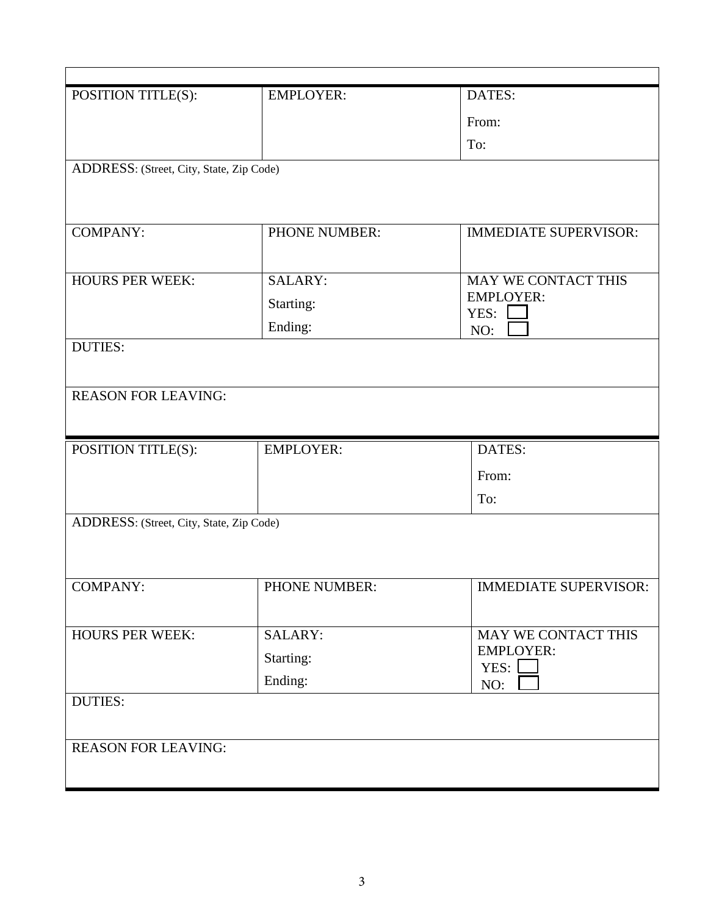| POSITION TITLE(S):                       | <b>EMPLOYER:</b> | DATES:                       |  |
|------------------------------------------|------------------|------------------------------|--|
|                                          |                  | From:                        |  |
|                                          |                  | To:                          |  |
| ADDRESS: (Street, City, State, Zip Code) |                  |                              |  |
|                                          |                  |                              |  |
|                                          |                  |                              |  |
| <b>COMPANY:</b>                          | PHONE NUMBER:    | <b>IMMEDIATE SUPERVISOR:</b> |  |
|                                          |                  |                              |  |
| <b>HOURS PER WEEK:</b>                   | SALARY:          | MAY WE CONTACT THIS          |  |
|                                          | Starting:        | <b>EMPLOYER:</b><br>YES:     |  |
|                                          | Ending:          | NO:                          |  |
| <b>DUTIES:</b>                           |                  |                              |  |
|                                          |                  |                              |  |
| <b>REASON FOR LEAVING:</b>               |                  |                              |  |
|                                          |                  |                              |  |
| POSITION TITLE(S):                       | <b>EMPLOYER:</b> | DATES:                       |  |
|                                          |                  | From:                        |  |
|                                          |                  | To:                          |  |
| ADDRESS: (Street, City, State, Zip Code) |                  |                              |  |
|                                          |                  |                              |  |
|                                          |                  |                              |  |
|                                          |                  |                              |  |
| <b>COMPANY:</b>                          | PHONE NUMBER:    | <b>IMMEDIATE SUPERVISOR:</b> |  |
|                                          |                  |                              |  |
| <b>HOURS PER WEEK:</b>                   | <b>SALARY:</b>   | MAY WE CONTACT THIS          |  |
|                                          | Starting:        | <b>EMPLOYER:</b>             |  |
|                                          | Ending:          | YES:                         |  |
| <b>DUTIES:</b>                           |                  | NO:                          |  |
|                                          |                  |                              |  |
| <b>REASON FOR LEAVING:</b>               |                  |                              |  |
|                                          |                  |                              |  |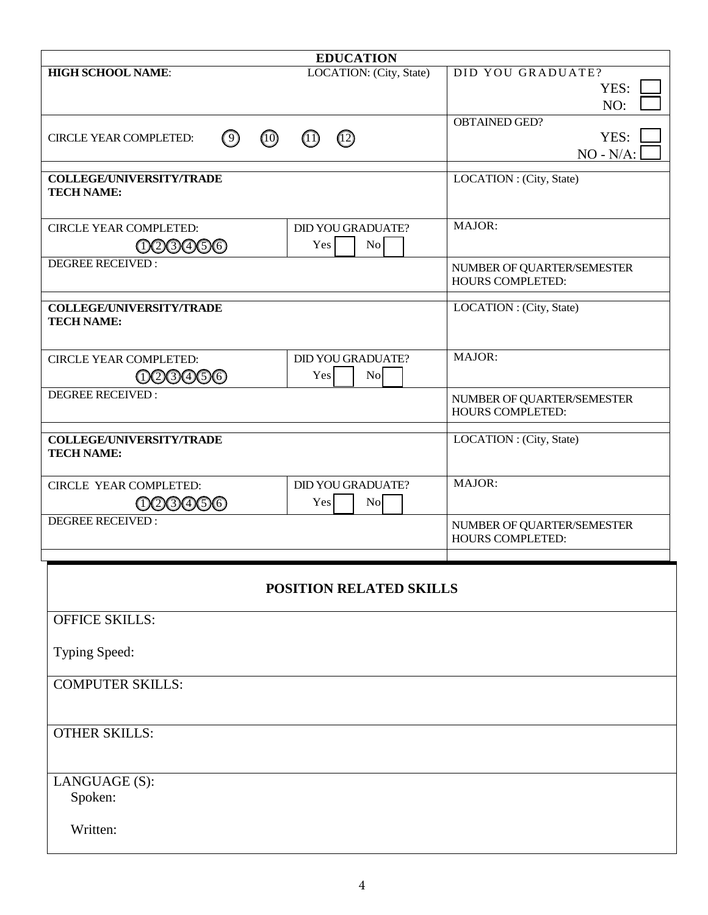| <b>EDUCATION</b>                                     |                                    |                            |
|------------------------------------------------------|------------------------------------|----------------------------|
| <b>HIGH SCHOOL NAME:</b>                             | LOCATION: (City, State)            | DID YOU GRADUATE?          |
|                                                      |                                    | YES:                       |
|                                                      |                                    | NO:                        |
|                                                      |                                    | <b>OBTAINED GED?</b>       |
| $\odot$<br>(10)<br><b>CIRCLE YEAR COMPLETED:</b>     | $\circled{12}$<br>$\left(1\right)$ | YES:                       |
|                                                      |                                    | $NO - N/A$ :               |
| <b>COLLEGE/UNIVERSITY/TRADE</b>                      |                                    | LOCATION : (City, State)   |
| <b>TECH NAME:</b>                                    |                                    |                            |
| <b>CIRCLE YEAR COMPLETED:</b>                        | <b>DID YOU GRADUATE?</b>           | MAJOR:                     |
| 000000                                               | No<br>Yes                          |                            |
| <b>DEGREE RECEIVED:</b>                              |                                    | NUMBER OF QUARTER/SEMESTER |
|                                                      |                                    | <b>HOURS COMPLETED:</b>    |
|                                                      |                                    |                            |
| <b>COLLEGE/UNIVERSITY/TRADE</b><br><b>TECH NAME:</b> |                                    | LOCATION : (City, State)   |
|                                                      |                                    |                            |
|                                                      |                                    | MAJOR:                     |
| <b>CIRCLE YEAR COMPLETED:</b>                        | <b>DID YOU GRADUATE?</b>           |                            |
| 000000                                               | No<br>Yes                          |                            |
| <b>DEGREE RECEIVED:</b>                              |                                    | NUMBER OF QUARTER/SEMESTER |
|                                                      |                                    | <b>HOURS COMPLETED:</b>    |
| <b>COLLEGE/UNIVERSITY/TRADE</b>                      |                                    | LOCATION : (City, State)   |
| <b>TECH NAME:</b>                                    |                                    |                            |
|                                                      |                                    |                            |
| <b>CIRCLE YEAR COMPLETED:</b>                        | <b>DID YOU GRADUATE?</b>           | MAJOR:                     |
| 003056                                               | N <sub>0</sub><br>Yes              |                            |
| <b>DEGREE RECEIVED:</b>                              |                                    | NUMBER OF QUARTER/SEMESTER |
|                                                      |                                    | <b>HOURS COMPLETED:</b>    |
|                                                      |                                    |                            |
|                                                      |                                    |                            |
|                                                      | <b>POSITION RELATED SKILLS</b>     |                            |
| <b>OFFICE SKILLS:</b>                                |                                    |                            |
|                                                      |                                    |                            |
| Typing Speed:                                        |                                    |                            |
| <b>COMPUTER SKILLS:</b>                              |                                    |                            |
|                                                      |                                    |                            |
|                                                      |                                    |                            |
| <b>OTHER SKILLS:</b>                                 |                                    |                            |
|                                                      |                                    |                            |
|                                                      |                                    |                            |
| LANGUAGE (S):                                        |                                    |                            |
| Spoken:                                              |                                    |                            |
|                                                      |                                    |                            |
| Written:                                             |                                    |                            |
|                                                      |                                    |                            |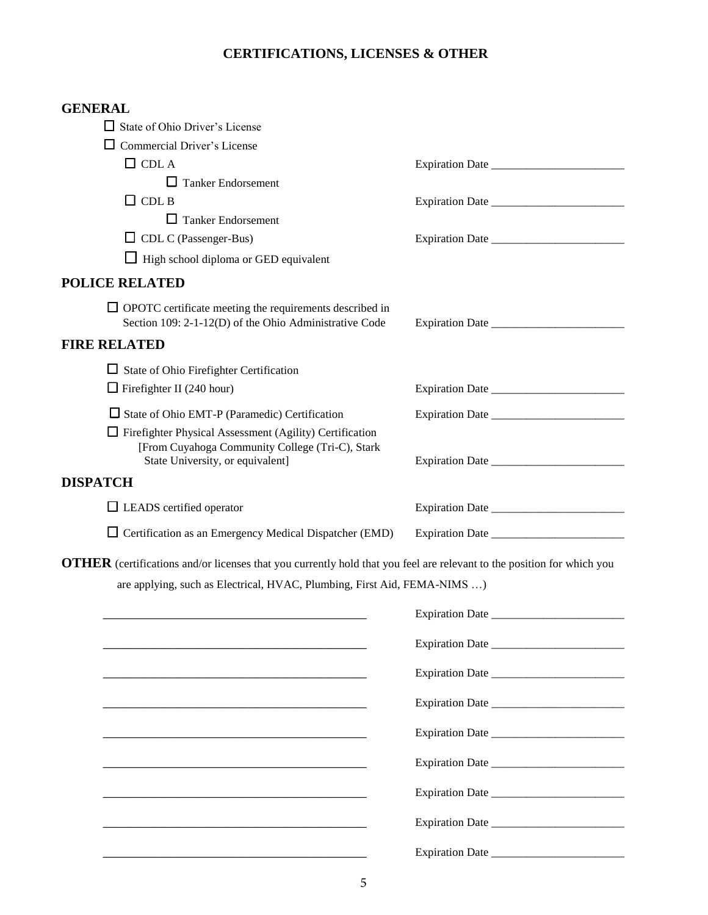# **CERTIFICATIONS, LICENSES & OTHER**

| <b>GENERAL</b>                                                                                                                |                        |
|-------------------------------------------------------------------------------------------------------------------------------|------------------------|
| $\Box$ State of Ohio Driver's License                                                                                         |                        |
| $\Box$ Commercial Driver's License                                                                                            |                        |
| $\Box$ CDL A                                                                                                                  |                        |
| $\Box$ Tanker Endorsement                                                                                                     |                        |
| $\Box$ CDL B                                                                                                                  |                        |
| $\Box$ Tanker Endorsement                                                                                                     |                        |
| $\Box$ CDL C (Passenger-Bus)                                                                                                  |                        |
| $\Box$ High school diploma or GED equivalent                                                                                  |                        |
| <b>POLICE RELATED</b>                                                                                                         |                        |
| $\Box$ OPOTC certificate meeting the requirements described in<br>Section 109: 2-1-12(D) of the Ohio Administrative Code      |                        |
| <b>FIRE RELATED</b>                                                                                                           |                        |
| $\Box$ State of Ohio Firefighter Certification                                                                                |                        |
| $\Box$ Firefighter II (240 hour)                                                                                              |                        |
| □ State of Ohio EMT-P (Paramedic) Certification                                                                               |                        |
| $\Box$ Firefighter Physical Assessment (Agility) Certification<br>[From Cuyahoga Community College (Tri-C), Stark             |                        |
| State University, or equivalent]                                                                                              |                        |
| <b>DISPATCH</b>                                                                                                               |                        |
| $\Box$ LEADS certified operator                                                                                               |                        |
| $\Box$ Certification as an Emergency Medical Dispatcher (EMD)                                                                 |                        |
| <b>OTHER</b> (certifications and/or licenses that you currently hold that you feel are relevant to the position for which you |                        |
| are applying, such as Electrical, HVAC, Plumbing, First Aid, FEMA-NIMS )                                                      |                        |
|                                                                                                                               |                        |
|                                                                                                                               | <b>Expiration Date</b> |
|                                                                                                                               |                        |
| <u> 1989 - Johann Harry Harry Harry Harry Harry Harry Harry Harry Harry Harry Harry Harry Harry Harry Harry Harry</u>         | Expiration Date        |
|                                                                                                                               |                        |
|                                                                                                                               |                        |
| <u> 1989 - Johann Stoff, deutscher Stoff, der Stoff, der Stoff, der Stoff, der Stoff, der Stoff, der Stoff, der S</u>         |                        |
| <u> 1989 - Jan James James James James James James James James James James James James James James James James Ja</u>         |                        |
|                                                                                                                               |                        |
|                                                                                                                               |                        |